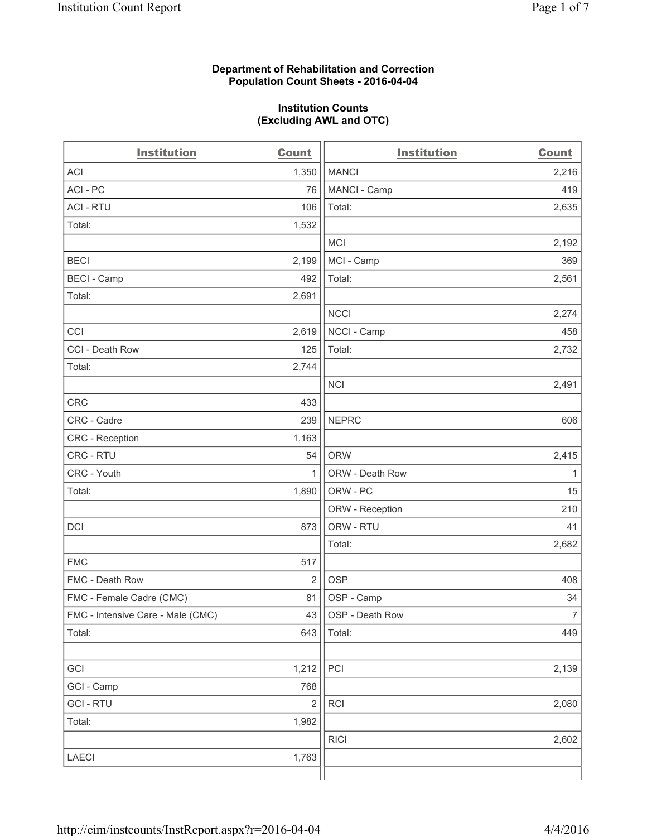## **Department of Rehabilitation and Correction Population Count Sheets - 2016-04-04**

## **Institution Counts (Excluding AWL and OTC)**

| <b>Institution</b>                | <b>Count</b>            | <b>Institution</b> | <b>Count</b>   |
|-----------------------------------|-------------------------|--------------------|----------------|
| <b>ACI</b>                        | 1,350                   | <b>MANCI</b>       | 2,216          |
| ACI - PC                          | 76                      | MANCI - Camp       | 419            |
| <b>ACI - RTU</b>                  | 106                     | Total:             | 2,635          |
| Total:                            | 1,532                   |                    |                |
|                                   |                         | <b>MCI</b>         | 2,192          |
| <b>BECI</b>                       | 2,199                   | MCI - Camp         | 369            |
| <b>BECI</b> - Camp                | 492                     | Total:             | 2,561          |
| Total:                            | 2,691                   |                    |                |
|                                   |                         | <b>NCCI</b>        | 2,274          |
| CCI                               | 2,619                   | NCCI - Camp        | 458            |
| CCI - Death Row                   | 125                     | Total:             | 2,732          |
| Total:                            | 2,744                   |                    |                |
|                                   |                         | <b>NCI</b>         | 2,491          |
| <b>CRC</b>                        | 433                     |                    |                |
| CRC - Cadre                       | 239                     | <b>NEPRC</b>       | 606            |
| <b>CRC</b> - Reception            | 1,163                   |                    |                |
| CRC - RTU                         | 54                      | <b>ORW</b>         | 2,415          |
| CRC - Youth                       | $\mathbf{1}$            | ORW - Death Row    | 1              |
| Total:                            | 1,890                   | ORW - PC           | 15             |
|                                   |                         | ORW - Reception    | 210            |
| DCI                               | 873                     | ORW - RTU          | 41             |
|                                   |                         | Total:             | 2,682          |
| <b>FMC</b>                        | 517                     |                    |                |
| FMC - Death Row                   | $\overline{2}$          | <b>OSP</b>         | 408            |
| FMC - Female Cadre (CMC)          | 81                      | OSP - Camp         | 34             |
| FMC - Intensive Care - Male (CMC) | 43                      | OSP - Death Row    | $\overline{7}$ |
| Total:                            | 643                     | Total:             | 449            |
|                                   |                         |                    |                |
| GCI                               | 1,212                   | PCI                | 2,139          |
| GCI - Camp                        | 768                     |                    |                |
| <b>GCI-RTU</b>                    | $\overline{\mathbf{c}}$ | RCI                | 2,080          |
| Total:                            | 1,982                   |                    |                |
|                                   |                         | <b>RICI</b>        | 2,602          |
| LAECI                             | 1,763                   |                    |                |
|                                   |                         |                    |                |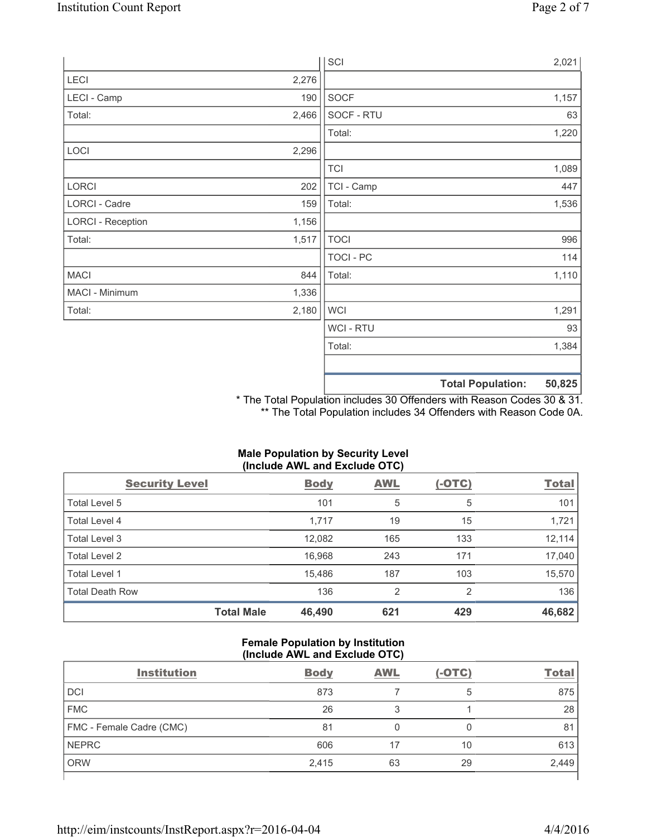|                          |       | SCI            |                          | 2,021  |
|--------------------------|-------|----------------|--------------------------|--------|
| LECI                     | 2,276 |                |                          |        |
| LECI - Camp              | 190   | SOCF           |                          | 1,157  |
| Total:                   | 2,466 | SOCF - RTU     |                          | 63     |
|                          |       | Total:         |                          | 1,220  |
| LOCI                     | 2,296 |                |                          |        |
|                          |       | <b>TCI</b>     |                          | 1,089  |
| LORCI                    | 202   | TCI - Camp     |                          | 447    |
| LORCI - Cadre            | 159   | Total:         |                          | 1,536  |
| <b>LORCI - Reception</b> | 1,156 |                |                          |        |
| Total:                   | 1,517 | <b>TOCI</b>    |                          | 996    |
|                          |       | TOCI - PC      |                          | 114    |
| <b>MACI</b>              | 844   | Total:         |                          | 1,110  |
| MACI - Minimum           | 1,336 |                |                          |        |
| Total:                   | 2,180 | <b>WCI</b>     |                          | 1,291  |
|                          |       | <b>WCI-RTU</b> |                          | 93     |
|                          |       | Total:         |                          | 1,384  |
|                          |       |                |                          |        |
|                          |       |                | <b>Total Population:</b> | 50,825 |

\* The Total Population includes 30 Offenders with Reason Codes 30 & 31. \*\* The Total Population includes 34 Offenders with Reason Code 0A.

# **Male Population by Security Level (Include AWL and Exclude OTC)**

| <b>Security Level</b>  |                   | <b>Body</b> | AWL | $(-OTC)$ | <b>Total</b> |
|------------------------|-------------------|-------------|-----|----------|--------------|
| Total Level 5          |                   | 101         | 5   | 5        | 101          |
| Total Level 4          |                   | 1,717       | 19  | 15       | 1,721        |
| Total Level 3          |                   | 12,082      | 165 | 133      | 12,114       |
| Total Level 2          |                   | 16,968      | 243 | 171      | 17,040       |
| Total Level 1          |                   | 15,486      | 187 | 103      | 15,570       |
| <b>Total Death Row</b> |                   | 136         | 2   | 2        | 136          |
|                        | <b>Total Male</b> | 46,490      | 621 | 429      | 46,682       |

# **Female Population by Institution (Include AWL and Exclude OTC)**

| <b>Institution</b>       | <b>Body</b> | <b>AWL</b> | $(-OTC)$ | <b>Total</b> |
|--------------------------|-------------|------------|----------|--------------|
| <b>DCI</b>               | 873         |            | ხ        | 875          |
| <b>FMC</b>               | 26          | 3          |          | 28           |
| FMC - Female Cadre (CMC) | 81          |            |          | 81           |
| <b>NEPRC</b>             | 606         |            | 10       | 613          |
| <b>ORW</b>               | 2,415       | 63         | 29       | 2,449        |
|                          |             |            |          |              |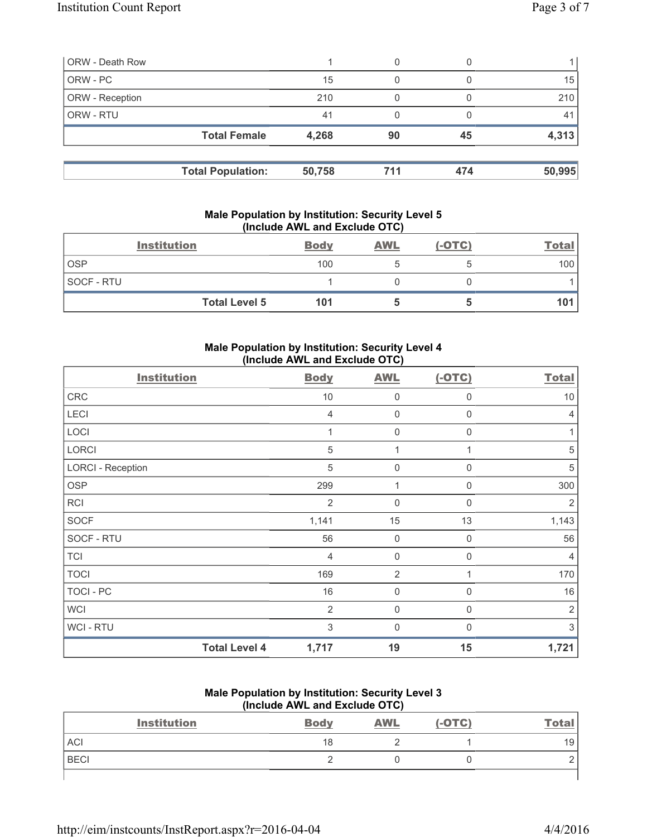| <b>ORW - Death Row</b> |                          |        | 0   |     |        |
|------------------------|--------------------------|--------|-----|-----|--------|
| ORW - PC               |                          | 15     | 0   |     | 15     |
| ORW - Reception        |                          | 210    |     |     | 210    |
| ORW - RTU              |                          | 41     | 0   |     | 41     |
|                        | <b>Total Female</b>      | 4,268  | 90  | 45  | 4,313  |
|                        |                          |        | 711 | 474 |        |
|                        | <b>Total Population:</b> | 50,758 |     |     | 50,995 |

## **Male Population by Institution: Security Level 5 (Include AWL and Exclude OTC)**

|            | <b>Institution</b>   | <b>Body</b> | <b>AWL</b> | $(-OTC)$ | <b>Total</b> |
|------------|----------------------|-------------|------------|----------|--------------|
| <b>OSP</b> |                      | 100         |            |          | 100          |
| SOCF - RTU |                      |             |            |          |              |
|            | <b>Total Level 5</b> | 101         |            |          | 101          |

# **Male Population by Institution: Security Level 4 (Include AWL and Exclude OTC)**

| <b>Institution</b>       |                      | <b>Body</b>    | <b>AWL</b>     | $(-OTC)$    | <b>Total</b>   |
|--------------------------|----------------------|----------------|----------------|-------------|----------------|
| <b>CRC</b>               |                      | 10             | 0              | $\mathbf 0$ | 10             |
| LECI                     |                      | 4              | $\mathbf 0$    | 0           | $\overline{4}$ |
| LOCI                     |                      | 1              | $\mathbf 0$    | $\Omega$    | 1              |
| <b>LORCI</b>             |                      | $\sqrt{5}$     | 1              |             | 5              |
| <b>LORCI - Reception</b> |                      | $\sqrt{5}$     | $\mathbf 0$    | $\mathbf 0$ | 5              |
| <b>OSP</b>               |                      | 299            | 1              | $\Omega$    | 300            |
| <b>RCI</b>               |                      | $\overline{2}$ | $\mathbf 0$    | 0           | $\overline{2}$ |
| <b>SOCF</b>              |                      | 1,141          | 15             | 13          | 1,143          |
| SOCF - RTU               |                      | 56             | 0              | $\mathbf 0$ | 56             |
| <b>TCI</b>               |                      | $\overline{4}$ | $\mathbf 0$    | 0           | 4              |
| <b>TOCI</b>              |                      | 169            | $\overline{2}$ |             | 170            |
| TOCI - PC                |                      | 16             | $\mathbf 0$    | 0           | 16             |
| <b>WCI</b>               |                      | $\overline{2}$ | $\mathbf 0$    | $\Omega$    | $\overline{2}$ |
| <b>WCI-RTU</b>           |                      | 3              | $\mathbf 0$    | 0           | 3              |
|                          | <b>Total Level 4</b> | 1,717          | 19             | 15          | 1,721          |

## **Male Population by Institution: Security Level 3 (Include AWL and Exclude OTC)**

| <b>Institution</b> | <b>Body</b> | <b>AWL</b> | $(-OTC)$ | <b>Total</b> |
|--------------------|-------------|------------|----------|--------------|
| ACI                | 18          |            |          | 19           |
| <b>BECI</b>        |             |            |          |              |
|                    |             |            |          |              |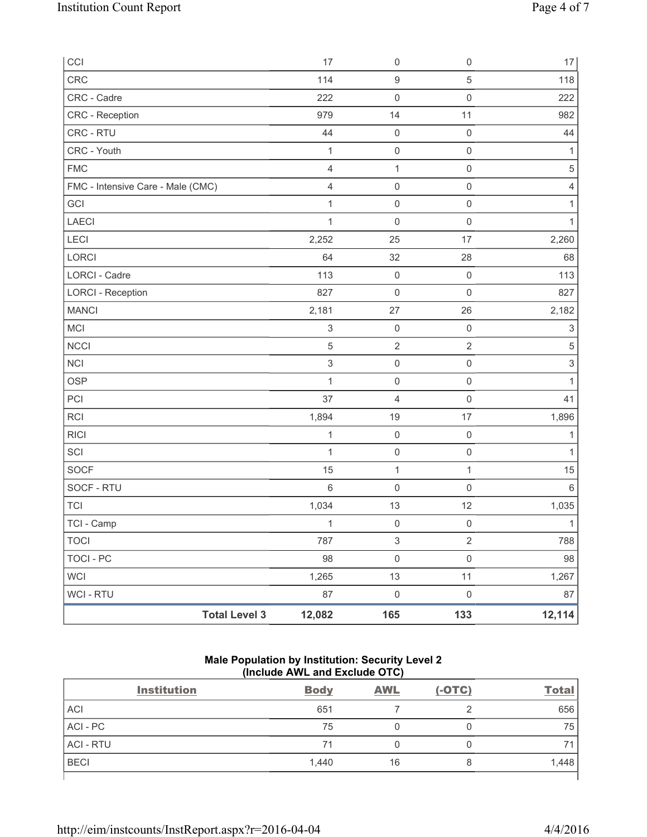| CCI                               | 17                             | $\mathsf{O}\xspace$       | $\mathsf{O}\xspace$ | $17\,$                    |
|-----------------------------------|--------------------------------|---------------------------|---------------------|---------------------------|
| CRC                               | 114                            | $\boldsymbol{9}$          | $\,$ 5 $\,$         | 118                       |
| CRC - Cadre                       | 222                            | $\mathsf{O}\xspace$       | $\mathsf{O}\xspace$ | 222                       |
| CRC - Reception                   | 979                            | 14                        | 11                  | 982                       |
| CRC - RTU                         | 44                             | $\mathsf{O}\xspace$       | $\mathsf 0$         | 44                        |
| CRC - Youth                       | 1                              | $\mathsf{O}\xspace$       | $\mathsf{O}\xspace$ | 1                         |
| <b>FMC</b>                        | $\overline{4}$                 | 1                         | $\mathsf 0$         | $\sqrt{5}$                |
| FMC - Intensive Care - Male (CMC) | $\overline{4}$                 | $\mathsf{O}\xspace$       | $\mathsf{O}\xspace$ | 4                         |
| GCI                               | 1                              | $\mathsf{O}\xspace$       | $\mathsf{O}\xspace$ | 1                         |
| LAECI                             | 1                              | $\mathsf{O}\xspace$       | $\mathsf{O}\xspace$ | 1                         |
| LECI                              | 2,252                          | 25                        | 17                  | 2,260                     |
| LORCI                             | 64                             | 32                        | 28                  | 68                        |
| LORCI - Cadre                     | 113                            | $\mathsf{O}\xspace$       | $\mathsf{O}\xspace$ | 113                       |
| <b>LORCI - Reception</b>          | 827                            | $\mathsf{O}\xspace$       | $\mathsf{O}\xspace$ | 827                       |
| <b>MANCI</b>                      | 2,181                          | 27                        | 26                  | 2,182                     |
| MCI                               | $\sqrt{3}$                     | $\mathsf{O}\xspace$       | $\mathsf 0$         | 3                         |
| <b>NCCI</b>                       | $\sqrt{5}$                     | $\sqrt{2}$                | $\overline{2}$      | $\,$ 5 $\,$               |
| NCI                               | $\,$ 3 $\,$                    | $\mathsf{O}\xspace$       | $\mathsf{O}\xspace$ | $\ensuremath{\mathsf{3}}$ |
| <b>OSP</b>                        | 1                              | $\mathsf{O}\xspace$       | $\mathsf{O}\xspace$ | 1                         |
| PCI                               | 37                             | $\overline{4}$            | $\mathsf{O}\xspace$ | 41                        |
| <b>RCI</b>                        | 1,894                          | 19                        | 17                  | 1,896                     |
| <b>RICI</b>                       | $\mathbf{1}$                   | $\mathsf{O}\xspace$       | $\mathsf{O}\xspace$ | $\mathbf{1}$              |
| SCI                               | $\mathbf{1}$                   | $\mathsf{O}\xspace$       | $\mathsf{O}\xspace$ | $\mathbf{1}$              |
| <b>SOCF</b>                       | 15                             | $\mathbf{1}$              | $\mathbf{1}$        | 15                        |
| SOCF - RTU                        | $\,6\,$                        | $\mathsf{O}\xspace$       | $\mathsf{O}\xspace$ | 6                         |
| <b>TCI</b>                        | 1,034                          | 13                        | 12                  | 1,035                     |
| TCI - Camp                        | $\mathbf{1}$                   | $\mathsf{O}\xspace$       | $\mathsf 0$         | $\mathbf{1}$              |
| <b>TOCI</b>                       | 787                            | $\ensuremath{\mathsf{3}}$ | $\sqrt{2}$          | 788                       |
| TOCI - PC                         | 98                             | $\mathsf{O}\xspace$       | $\mathsf{O}\xspace$ | 98                        |
| <b>WCI</b>                        | 1,265                          | 13                        | 11                  | 1,267                     |
| WCI - RTU                         | 87                             | $\pmb{0}$                 | $\mathsf{O}\xspace$ | 87                        |
|                                   | <b>Total Level 3</b><br>12,082 | 165                       | 133                 | 12,114                    |

# **Male Population by Institution: Security Level 2 (Include AWL and Exclude OTC)**

| <b>Institution</b> | <b>Body</b> | <b>AWL</b> | $(-OTC)$ | <b>Total</b> |
|--------------------|-------------|------------|----------|--------------|
| <b>ACI</b>         | 651         |            |          | 656          |
| ACI-PC             | 75          |            |          | 75           |
| <b>ACI - RTU</b>   | 71          |            | 0        | 74           |
| <b>BECI</b>        | 1,440       | 16         | 8        | 1,448        |
|                    |             |            |          |              |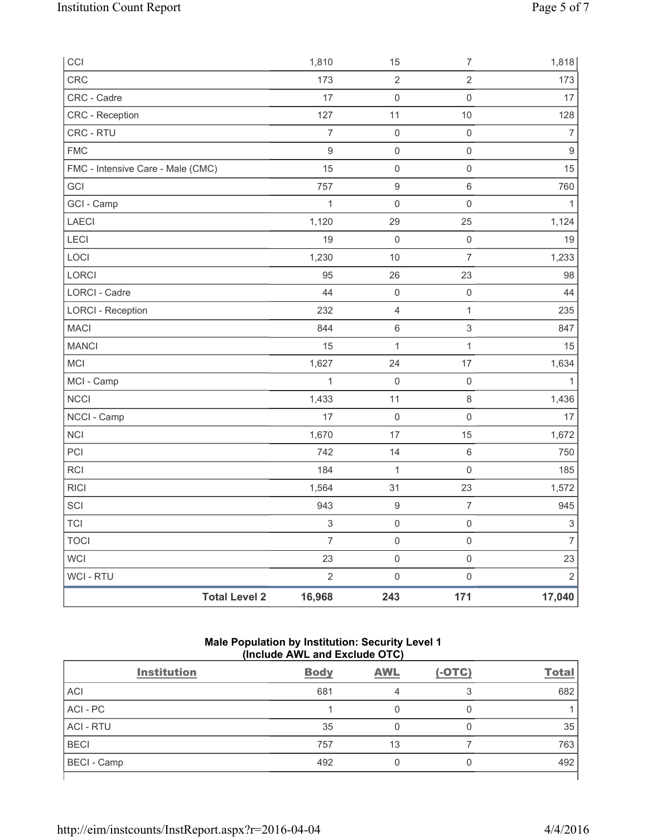| CCI                               | 1,810                     | 15                      | $\boldsymbol{7}$    | 1,818                     |
|-----------------------------------|---------------------------|-------------------------|---------------------|---------------------------|
| CRC                               | 173                       | $\overline{2}$          | $\overline{2}$      | 173                       |
| CRC - Cadre                       | 17                        | $\mathsf{O}\xspace$     | $\mathsf 0$         | 17                        |
| CRC - Reception                   | 127                       | 11                      | $10$                | 128                       |
| CRC - RTU                         | $\overline{7}$            | $\mathsf{O}\xspace$     | $\mathsf 0$         | $\overline{7}$            |
| <b>FMC</b>                        | $\mathsf g$               | $\mathsf{O}\xspace$     | $\mathsf 0$         | $\boldsymbol{9}$          |
| FMC - Intensive Care - Male (CMC) | 15                        | $\mathsf{O}\xspace$     | $\mathsf{O}\xspace$ | 15                        |
| GCI                               | 757                       | $\boldsymbol{9}$        | $\,6\,$             | 760                       |
| GCI - Camp                        | $\mathbf{1}$              | $\mathsf{O}\xspace$     | $\mathsf 0$         | 1                         |
| LAECI                             | 1,120                     | 29                      | 25                  | 1,124                     |
| LECI                              | 19                        | $\mathsf{O}\xspace$     | $\mathsf 0$         | 19                        |
| LOCI                              | 1,230                     | 10                      | $\overline{7}$      | 1,233                     |
| LORCI                             | 95                        | 26                      | 23                  | 98                        |
| <b>LORCI - Cadre</b>              | 44                        | $\mathsf{O}\xspace$     | $\mathsf{O}\xspace$ | 44                        |
| <b>LORCI - Reception</b>          | 232                       | $\overline{\mathbf{4}}$ | $\mathbf{1}$        | 235                       |
| <b>MACI</b>                       | 844                       | $\,6$                   | $\mathfrak{S}$      | 847                       |
| <b>MANCI</b>                      | 15                        | $\mathbf{1}$            | $\mathbf{1}$        | 15                        |
| MCI                               | 1,627                     | 24                      | 17                  | 1,634                     |
| MCI - Camp                        | $\mathbf{1}$              | $\mathbf 0$             | $\mathsf{O}\xspace$ | $\mathbf{1}$              |
| <b>NCCI</b>                       | 1,433                     | 11                      | $\,8\,$             | 1,436                     |
| NCCI - Camp                       | 17                        | $\mathsf{O}\xspace$     | $\mathsf{O}\xspace$ | 17                        |
| NCI                               | 1,670                     | 17                      | 15                  | 1,672                     |
| PCI                               | 742                       | 14                      | $\,6\,$             | 750                       |
| <b>RCI</b>                        | 184                       | $\mathbf 1$             | $\mathsf 0$         | 185                       |
| <b>RICI</b>                       | 1,564                     | 31                      | 23                  | 1,572                     |
| SCI                               | 943                       | $\boldsymbol{9}$        | $\overline{7}$      | 945                       |
| <b>TCI</b>                        | $\ensuremath{\mathsf{3}}$ | $\mathsf{O}\xspace$     | $\mathsf{O}\xspace$ | $\ensuremath{\mathsf{3}}$ |
| <b>TOCI</b>                       | $\overline{7}$            | $\mathsf{O}\xspace$     | $\mathsf 0$         | $\overline{7}$            |
| WCI                               | 23                        | $\mathsf{O}\xspace$     | $\mathsf 0$         | 23                        |
| WCI - RTU                         | $\overline{2}$            | $\mathsf{O}\xspace$     | $\mathsf{O}\xspace$ | $\overline{2}$            |
| <b>Total Level 2</b>              | 16,968                    | 243                     | 171                 | 17,040                    |

# **Male Population by Institution: Security Level 1 (Include AWL and Exclude OTC)**

| <b>Institution</b> | <b>Body</b> | <b>AWL</b> | $(-OTC)$ | <b>Total</b> |
|--------------------|-------------|------------|----------|--------------|
| <b>ACI</b>         | 681         |            |          | 682          |
| ACI - PC           |             |            | 0        |              |
| <b>ACI - RTU</b>   | 35          |            | 0        | 35           |
| <b>BECI</b>        | 757         | 13         |          | 763          |
| <b>BECI</b> - Camp | 492         |            | 0        | 492          |
|                    |             |            |          |              |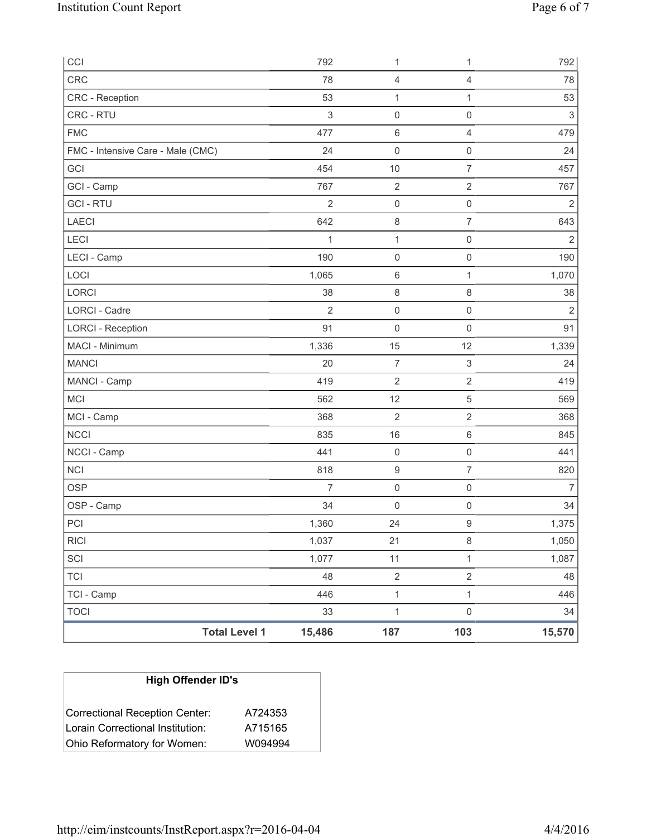| CCI                               |                      | 792            | 1                   | 1                         | 792                       |
|-----------------------------------|----------------------|----------------|---------------------|---------------------------|---------------------------|
| <b>CRC</b>                        |                      | 78             | 4                   | $\overline{4}$            | 78                        |
| CRC - Reception                   |                      | 53             | 1                   | $\mathbf{1}$              | 53                        |
| CRC - RTU                         |                      | $\mathsf 3$    | $\mathsf{O}\xspace$ | $\mathbf 0$               | $\ensuremath{\mathsf{3}}$ |
| <b>FMC</b>                        |                      | 477            | $\,6\,$             | $\overline{4}$            | 479                       |
| FMC - Intensive Care - Male (CMC) |                      | 24             | $\mathsf{O}\xspace$ | $\mathsf{O}\xspace$       | 24                        |
| GCI                               |                      | 454            | 10                  | $\overline{7}$            | 457                       |
| GCI - Camp                        |                      | 767            | $\sqrt{2}$          | $\overline{\mathbf{c}}$   | 767                       |
| <b>GCI - RTU</b>                  |                      | $\overline{2}$ | $\mathsf 0$         | $\mathsf{O}\xspace$       | $\overline{2}$            |
| <b>LAECI</b>                      |                      | 642            | 8                   | 7                         | 643                       |
| LECI                              |                      | 1              | $\mathbf 1$         | $\mathbf 0$               | $\overline{2}$            |
| LECI - Camp                       |                      | 190            | $\mathsf{O}\xspace$ | $\mathsf{O}\xspace$       | 190                       |
| LOCI                              |                      | 1,065          | 6                   | $\mathbf{1}$              | 1,070                     |
| LORCI                             |                      | 38             | 8                   | 8                         | 38                        |
| LORCI - Cadre                     |                      | $\overline{2}$ | $\mathsf{O}\xspace$ | $\mathsf{O}\xspace$       | $\overline{2}$            |
| <b>LORCI - Reception</b>          |                      | 91             | 0                   | $\mathsf{O}\xspace$       | 91                        |
| MACI - Minimum                    |                      | 1,336          | 15                  | 12                        | 1,339                     |
| <b>MANCI</b>                      |                      | 20             | $\overline{7}$      | $\ensuremath{\mathsf{3}}$ | 24                        |
| MANCI - Camp                      |                      | 419            | $\overline{2}$      | $\overline{2}$            | 419                       |
| <b>MCI</b>                        |                      | 562            | 12                  | $\mathbf 5$               | 569                       |
| MCI - Camp                        |                      | 368            | $\overline{2}$      | $\mathbf 2$               | 368                       |
| <b>NCCI</b>                       |                      | 835            | 16                  | $\,6\,$                   | 845                       |
| NCCI - Camp                       |                      | 441            | $\mathsf{O}\xspace$ | $\mathbf 0$               | 441                       |
| <b>NCI</b>                        |                      | 818            | $\boldsymbol{9}$    | $\overline{7}$            | 820                       |
| <b>OSP</b>                        |                      | $\overline{7}$ | $\mathsf{O}\xspace$ | $\mathsf{O}\xspace$       | $\overline{7}$            |
| OSP - Camp                        |                      | 34             | $\mathsf{O}\xspace$ | $\mathbf 0$               | 34                        |
| PCI                               |                      | 1,360          | 24                  | $\boldsymbol{9}$          | 1,375                     |
| <b>RICI</b>                       |                      | 1,037          | 21                  | 8                         | 1,050                     |
| SCI                               |                      | 1,077          | 11                  | $\mathbf{1}$              | 1,087                     |
| <b>TCI</b>                        |                      | 48             | $\overline{2}$      | $\overline{c}$            | 48                        |
| TCI - Camp                        |                      | 446            | $\mathbf{1}$        | $\mathbf{1}$              | 446                       |
| <b>TOCI</b>                       |                      | 33             | $\mathbf 1$         | $\mathbf 0$               | 34                        |
|                                   | <b>Total Level 1</b> | 15,486         | 187                 | 103                       | 15,570                    |

| <b>High Offender ID's</b>        |         |  |  |  |  |
|----------------------------------|---------|--|--|--|--|
| Correctional Reception Center:   | A724353 |  |  |  |  |
| Lorain Correctional Institution: | A715165 |  |  |  |  |
| Ohio Reformatory for Women:      | W094994 |  |  |  |  |